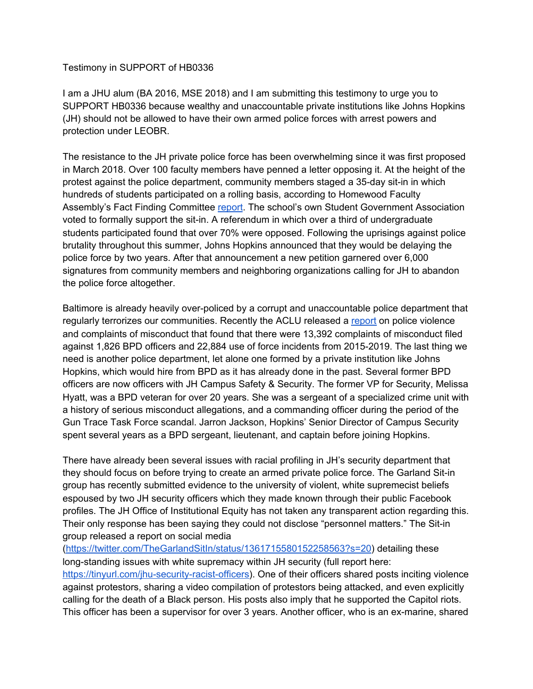Testimony in SUPPORT of HB0336

I am a JHU alum (BA 2016, MSE 2018) and I am submitting this testimony to urge you to SUPPORT HB0336 because wealthy and unaccountable private institutions like Johns Hopkins (JH) should not be allowed to have their own armed police forces with arrest powers and protection under LEOBR.

The resistance to the JH private police force has been overwhelming since it was first proposed in March 2018. Over 100 faculty members have penned a letter opposing it. At the height of the protest against the police department, community members staged a 35-day sit-in in which hundreds of students participated on a rolling basis, according to Homewood Faculty Assembly's Fact Finding Committee [report](https://facultyassembly.jhu.edu/files/2019/12/Homewood-Faculty-Assembly-Fact-Finding-Committee-Report.pdf). The school's own Student Government Association voted to formally support the sit-in. A referendum in which over a third of undergraduate students participated found that over 70% were opposed. Following the uprisings against police brutality throughout this summer, Johns Hopkins announced that they would be delaying the police force by two years. After that announcement a new petition garnered over 6,000 signatures from community members and neighboring organizations calling for JH to abandon the police force altogether.

Baltimore is already heavily over-policed by a corrupt and unaccountable police department that regularly terrorizes our communities. Recently the ACLU released a [report](https://www.aclu-md.org/en/publications/chasing-justice-addressing-police-violence-and-corruption-maryland) on police violence and complaints of misconduct that found that there were 13,392 complaints of misconduct filed against 1,826 BPD officers and 22,884 use of force incidents from 2015-2019. The last thing we need is another police department, let alone one formed by a private institution like Johns Hopkins, which would hire from BPD as it has already done in the past. Several former BPD officers are now officers with JH Campus Safety & Security. The former VP for Security, Melissa Hyatt, was a BPD veteran for over 20 years. She was a sergeant of a specialized crime unit with a history of serious misconduct allegations, and a commanding officer during the period of the Gun Trace Task Force scandal. Jarron Jackson, Hopkins' Senior Director of Campus Security spent several years as a BPD sergeant, lieutenant, and captain before joining Hopkins.

There have already been several issues with racial profiling in JH's security department that they should focus on before trying to create an armed private police force. The Garland Sit-in group has recently submitted evidence to the university of violent, white supremecist beliefs espoused by two JH security officers which they made known through their public Facebook profiles. The JH Office of Institutional Equity has not taken any transparent action regarding this. Their only response has been saying they could not disclose "personnel matters." The Sit-in group released a report on social media

([https://twitter.com/TheGarlandSitIn/status/1361715580152258563?s=20\)](https://twitter.com/TheGarlandSitIn/status/1361715580152258563?s=20) detailing these long-standing issues with white supremacy within JH security (full report here: <https://tinyurl.com/jhu-security-racist-officers>). One of their officers shared posts inciting violence against protestors, sharing a video compilation of protestors being attacked, and even explicitly calling for the death of a Black person. His posts also imply that he supported the Capitol riots. This officer has been a supervisor for over 3 years. Another officer, who is an ex-marine, shared